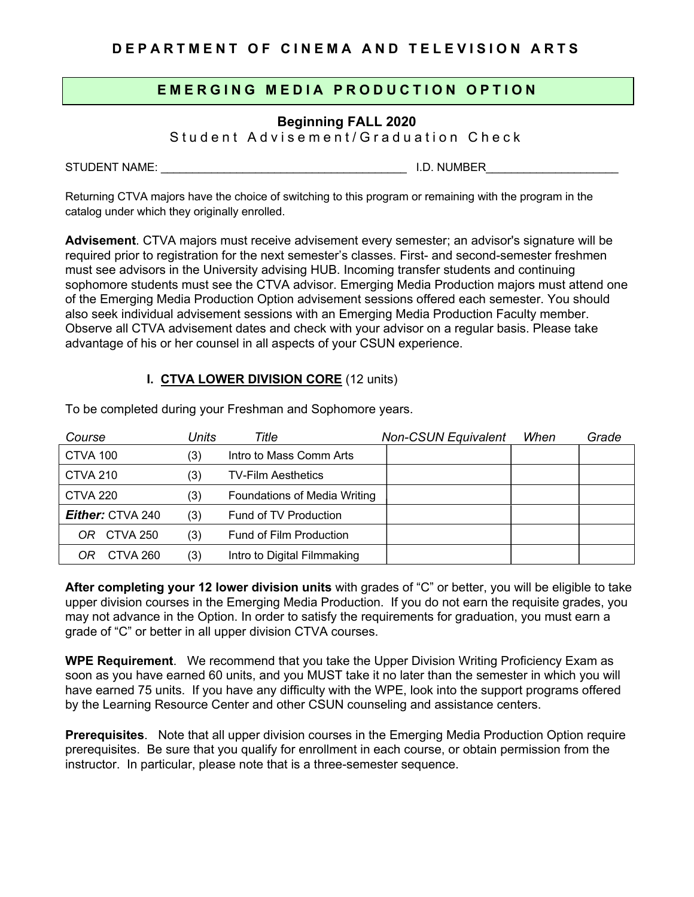## **DEPARTMENT OF CINEMA AND TELEVISION ARTS**

# **EMERGING MEDI A PRO DUCTION OPTION**

# **Beginning FALL 2020**

S tudent Advisement/Graduation Check

STUDENT NAME: \_\_\_\_\_\_\_\_\_\_\_\_\_\_\_\_\_\_\_\_\_\_\_\_\_\_\_\_\_\_\_\_\_\_\_\_\_\_\_ I.D. NUMBER\_\_\_\_\_\_\_\_\_\_\_\_\_\_\_\_\_\_\_\_\_

Returning CTVA majors have the choice of switching to this program or remaining with the program in the catalog under which they originally enrolled.

**Advisement**. CTVA majors must receive advisement every semester; an advisor's signature will be required prior to registration for the next semester's classes. First- and second-semester freshmen must see advisors in the University advising HUB. Incoming transfer students and continuing sophomore students must see the CTVA advisor. Emerging Media Production majors must attend one of the Emerging Media Production Option advisement sessions offered each semester. You should also seek individual advisement sessions with an Emerging Media Production Faculty member. Observe all CTVA advisement dates and check with your advisor on a regular basis. Please take advantage of his or her counsel in all aspects of your CSUN experience.

## **I. CTVA LOWER DIVISION CORE** (12 units)

| Course                  | Units | Title                        | <b>Non-CSUN Equivalent</b> | When | Grade |
|-------------------------|-------|------------------------------|----------------------------|------|-------|
| CTVA 100                | (3)   | Intro to Mass Comm Arts      |                            |      |       |
| <b>CTVA 210</b>         | (3)   | <b>TV-Film Aesthetics</b>    |                            |      |       |
| <b>CTVA 220</b>         | (3)   | Foundations of Media Writing |                            |      |       |
| <b>Either: CTVA 240</b> | (3)   | Fund of TV Production        |                            |      |       |
| CTVA 250<br>OR.         | (3)   | Fund of Film Production      |                            |      |       |
| CTVA 260<br>OR          | (3)   | Intro to Digital Filmmaking  |                            |      |       |

To be completed during your Freshman and Sophomore years.

**After completing your 12 lower division units** with grades of "C" or better, you will be eligible to take upper division courses in the Emerging Media Production. If you do not earn the requisite grades, you may not advance in the Option. In order to satisfy the requirements for graduation, you must earn a grade of "C" or better in all upper division CTVA courses.

**WPE Requirement**. We recommend that you take the Upper Division Writing Proficiency Exam as soon as you have earned 60 units, and you MUST take it no later than the semester in which you will have earned 75 units. If you have any difficulty with the WPE, look into the support programs offered by the Learning Resource Center and other CSUN counseling and assistance centers.

**Prerequisites**. Note that all upper division courses in the Emerging Media Production Option require prerequisites. Be sure that you qualify for enrollment in each course, or obtain permission from the instructor. In particular, please note that is a three-semester sequence.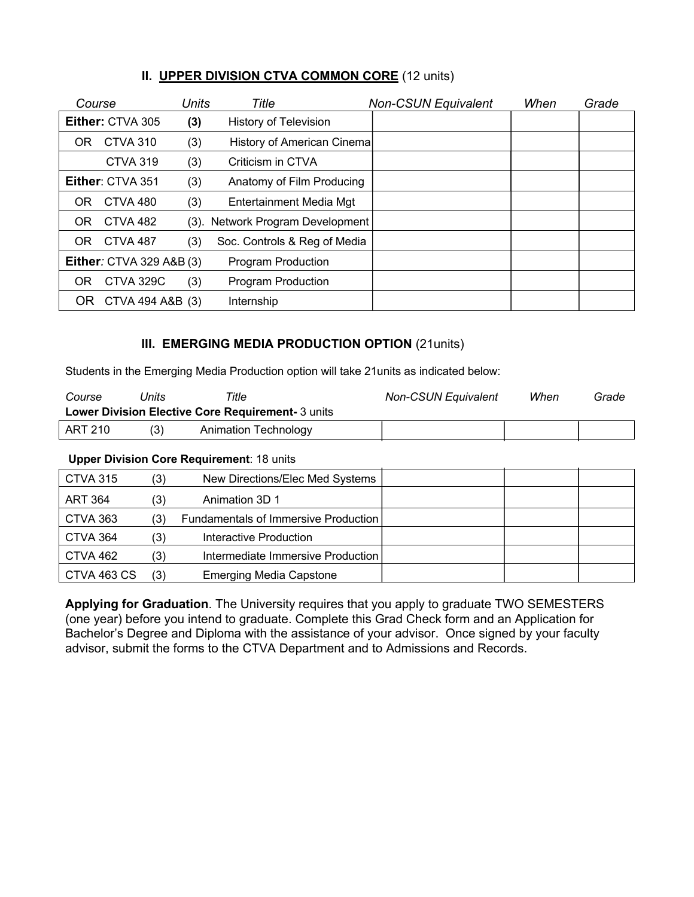| Course                          |                  | Units | Title                            | <b>Non-CSUN Equivalent</b> | When | Grade |
|---------------------------------|------------------|-------|----------------------------------|----------------------------|------|-------|
|                                 | Either: CTVA 305 | (3)   | <b>History of Television</b>     |                            |      |       |
| OR                              | CTVA 310         | (3)   | History of American Cinema       |                            |      |       |
|                                 | <b>CTVA 319</b>  | (3)   | Criticism in CTVA                |                            |      |       |
|                                 | Either: CTVA 351 | (3)   | Anatomy of Film Producing        |                            |      |       |
| OR                              | CTVA 480         | (3)   | Entertainment Media Mgt          |                            |      |       |
| OR                              | <b>CTVA 482</b>  |       | (3). Network Program Development |                            |      |       |
| OR.                             | CTVA 487         | (3)   | Soc. Controls & Reg of Media     |                            |      |       |
| <b>Either:</b> CTVA 329 A&B (3) |                  |       | <b>Program Production</b>        |                            |      |       |
| OR                              | CTVA 329C        | (3)   | <b>Program Production</b>        |                            |      |       |
| OR.                             | CTVA 494 A&B (3) |       | Internship                       |                            |      |       |

## **II. UPPER DIVISION CTVA COMMON CORE** (12 units)

## **III. EMERGING MEDIA PRODUCTION OPTION** (21units)

Students in the Emerging Media Production option will take 21units as indicated below:

| Course  | Jnits | Title                                                    | <b>Non-CSUN Equivalent</b> | When | Grade |
|---------|-------|----------------------------------------------------------|----------------------------|------|-------|
|         |       | <b>Lower Division Elective Core Requirement- 3 units</b> |                            |      |       |
| ART 210 | (3)   | Animation Technology                                     |                            |      |       |

#### **Upper Division Core Requirement**: 18 units

| <b>CTVA 315</b> | (3) | New Directions/Elec Med Systems      |  |  |
|-----------------|-----|--------------------------------------|--|--|
| <b>ART 364</b>  | '3) | Animation 3D 1                       |  |  |
| CTVA 363        | (3) | Fundamentals of Immersive Production |  |  |
| CTVA 364        | (3) | Interactive Production               |  |  |
| CTVA 462        | (3) | Intermediate Immersive Production    |  |  |
| CTVA 463 CS     | (3) | <b>Emerging Media Capstone</b>       |  |  |

**Applying for Graduation**. The University requires that you apply to graduate TWO SEMESTERS (one year) before you intend to graduate. Complete this Grad Check form and an Application for Bachelor's Degree and Diploma with the assistance of your advisor. Once signed by your faculty advisor, submit the forms to the CTVA Department and to Admissions and Records.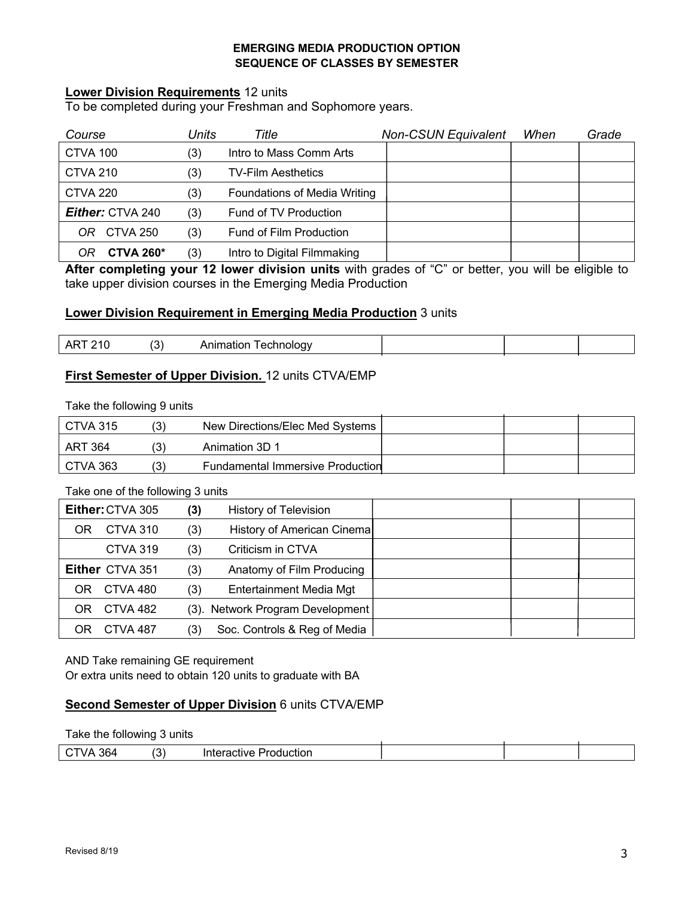#### **EMERGING MEDIA PRODUCTION OPTION SEQUENCE OF CLASSES BY SEMESTER**

### **Lower Division Requirements** 12 units

To be completed during your Freshman and Sophomore years.

| Course                  | Units | Title                        | <b>Non-CSUN Equivalent</b> | When | Grade |
|-------------------------|-------|------------------------------|----------------------------|------|-------|
| CTVA 100                | (3)   | Intro to Mass Comm Arts      |                            |      |       |
| <b>CTVA 210</b>         | (3)   | <b>TV-Film Aesthetics</b>    |                            |      |       |
| <b>CTVA 220</b>         | (3)   | Foundations of Media Writing |                            |      |       |
| <b>Either: CTVA 240</b> | (3)   | Fund of TV Production        |                            |      |       |
| <b>CTVA 250</b><br>OR.  | (3)   | Fund of Film Production      |                            |      |       |
| CTVA 260 $*$            | (3)   | Intro to Digital Filmmaking  |                            |      |       |

**After completing your 12 lower division units** with grades of "C" or better, you will be eligible to take upper division courses in the Emerging Media Production

#### **Lower Division Requirement in Emerging Media Production** 3 units

| $\sim$ | - - -<br>.:nnoioav<br>нол<br>. |  |  |
|--------|--------------------------------|--|--|
|        |                                |  |  |

## **First Semester of Upper Division.** 12 units CTVA/EMP

Take the following 9 units

| CTVA 315 | (3) | New Directions/Elec Med Systems         |  |  |
|----------|-----|-----------------------------------------|--|--|
| ART 364  |     | Animation 3D 1                          |  |  |
| CTVA 363 | (3) | <b>Fundamental Immersive Production</b> |  |  |

Take one of the following 3 units

| Either: CTVA 305 |                 | (3) | <b>History of Television</b>     |  |  |
|------------------|-----------------|-----|----------------------------------|--|--|
| OR               | CTVA 310        | (3) | History of American Cinema       |  |  |
|                  | <b>CTVA 319</b> | (3) | Criticism in CTVA                |  |  |
|                  | Either CTVA 351 | (3) | Anatomy of Film Producing        |  |  |
| OR               | CTVA 480        | (3) | Entertainment Media Mgt          |  |  |
| OR               | CTVA 482        |     | (3). Network Program Development |  |  |
|                  | CTVA 487        | (3) | Soc. Controls & Reg of Media     |  |  |

AND Take remaining GE requirement

Or extra units need to obtain 120 units to graduate with BA

### **Second Semester of Upper Division** 6 units CTVA/EMP

#### Take the following 3 units

| 364 | $\tilde{\phantom{a}}$<br>-<br>$\cdot$ . | Production<br>'nteractive |  |  |
|-----|-----------------------------------------|---------------------------|--|--|
|     |                                         |                           |  |  |